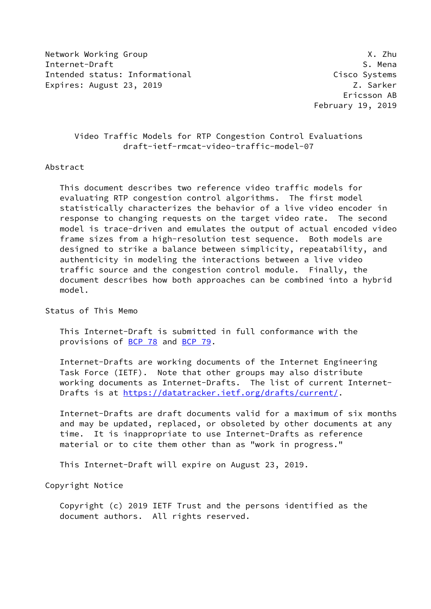Network Working Group **X.2hu** Internet-Draft S. Mena Intended status: Informational Cisco Systems Expires: August 23, 2019 **Z. Sarker** 

 Ericsson AB February 19, 2019

# Video Traffic Models for RTP Congestion Control Evaluations draft-ietf-rmcat-video-traffic-model-07

# Abstract

 This document describes two reference video traffic models for evaluating RTP congestion control algorithms. The first model statistically characterizes the behavior of a live video encoder in response to changing requests on the target video rate. The second model is trace-driven and emulates the output of actual encoded video frame sizes from a high-resolution test sequence. Both models are designed to strike a balance between simplicity, repeatability, and authenticity in modeling the interactions between a live video traffic source and the congestion control module. Finally, the document describes how both approaches can be combined into a hybrid model.

Status of This Memo

 This Internet-Draft is submitted in full conformance with the provisions of [BCP 78](https://datatracker.ietf.org/doc/pdf/bcp78) and [BCP 79](https://datatracker.ietf.org/doc/pdf/bcp79).

 Internet-Drafts are working documents of the Internet Engineering Task Force (IETF). Note that other groups may also distribute working documents as Internet-Drafts. The list of current Internet- Drafts is at<https://datatracker.ietf.org/drafts/current/>.

 Internet-Drafts are draft documents valid for a maximum of six months and may be updated, replaced, or obsoleted by other documents at any time. It is inappropriate to use Internet-Drafts as reference material or to cite them other than as "work in progress."

This Internet-Draft will expire on August 23, 2019.

Copyright Notice

 Copyright (c) 2019 IETF Trust and the persons identified as the document authors. All rights reserved.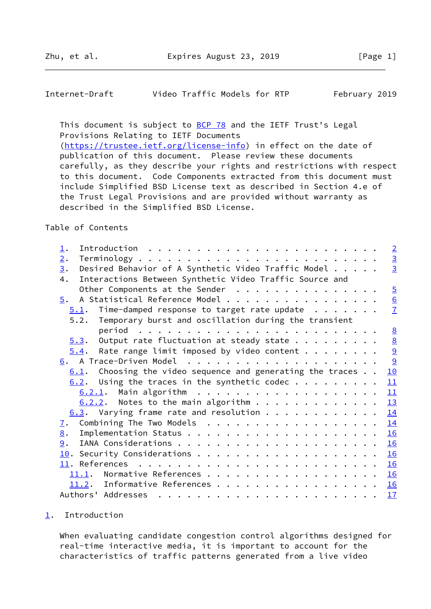<span id="page-1-1"></span>

| Internet-Draft | Video Traffic Models for RTP | February 2019 |
|----------------|------------------------------|---------------|
|----------------|------------------------------|---------------|

This document is subject to **[BCP 78](https://datatracker.ietf.org/doc/pdf/bcp78)** and the IETF Trust's Legal Provisions Relating to IETF Documents [\(https://trustee.ietf.org/license-info](https://trustee.ietf.org/license-info)) in effect on the date of publication of this document. Please review these documents carefully, as they describe your rights and restrictions with respect to this document. Code Components extracted from this document must include Simplified BSD License text as described in Section 4.e of the Trust Legal Provisions and are provided without warranty as described in the Simplified BSD License.

## Table of Contents

| $\perp$ .                                                      |  | $\overline{2}$   |
|----------------------------------------------------------------|--|------------------|
| 2.                                                             |  | $\overline{3}$   |
| Desired Behavior of A Synthetic Video Traffic Model<br>3.      |  | $\overline{3}$   |
| Interactions Between Synthetic Video Traffic Source and<br>4.  |  |                  |
| Other Components at the Sender                                 |  | $\overline{5}$   |
| A Statistical Reference Model<br>5.                            |  | $\underline{6}$  |
| Time-damped response to target rate update $\ldots$<br>5.1.    |  | $\overline{1}$   |
| 5.2. Temporary burst and oscillation during the transient      |  |                  |
|                                                                |  | 8                |
| Output rate fluctuation at steady state $\ldots$<br>5.3.       |  |                  |
| Rate range limit imposed by video content $\cdots$<br>5.4.     |  | <u>ଓ</u><br>ବାହା |
|                                                                |  |                  |
| Choosing the video sequence and generating the traces $\ldots$ |  |                  |
| 6.1.                                                           |  | 10               |
| $6.2$ . Using the traces in the synthetic codec                |  | 11               |
|                                                                |  | 11               |
| $6.2.2$ . Notes to the main algorithm                          |  | 13               |
| $6.3.$ Varying frame rate and resolution                       |  | 14               |
| Combining The Two Models<br><u>7</u> .                         |  | 14               |
| 8.                                                             |  | 16               |
| 9.                                                             |  | 16               |
|                                                                |  | 16               |
|                                                                |  | 16               |
| Normative References<br>11.1.                                  |  | 16               |
| 11.2. Informative References                                   |  | 16               |
| Authors' Addresses                                             |  | 17               |
|                                                                |  |                  |

## <span id="page-1-0"></span>[1](#page-1-0). Introduction

 When evaluating candidate congestion control algorithms designed for real-time interactive media, it is important to account for the characteristics of traffic patterns generated from a live video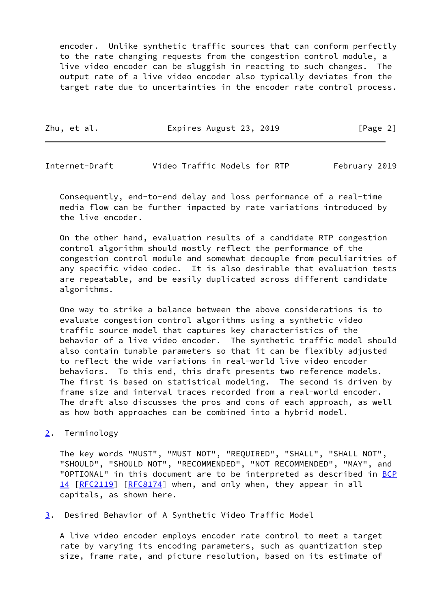encoder. Unlike synthetic traffic sources that can conform perfectly to the rate changing requests from the congestion control module, a live video encoder can be sluggish in reacting to such changes. The output rate of a live video encoder also typically deviates from the target rate due to uncertainties in the encoder rate control process.

| Zhu, et al. | Expires August 23, 2019 | [Page 2] |
|-------------|-------------------------|----------|
|-------------|-------------------------|----------|

<span id="page-2-1"></span>Internet-Draft Video Traffic Models for RTP February 2019

 Consequently, end-to-end delay and loss performance of a real-time media flow can be further impacted by rate variations introduced by the live encoder.

 On the other hand, evaluation results of a candidate RTP congestion control algorithm should mostly reflect the performance of the congestion control module and somewhat decouple from peculiarities of any specific video codec. It is also desirable that evaluation tests are repeatable, and be easily duplicated across different candidate algorithms.

 One way to strike a balance between the above considerations is to evaluate congestion control algorithms using a synthetic video traffic source model that captures key characteristics of the behavior of a live video encoder. The synthetic traffic model should also contain tunable parameters so that it can be flexibly adjusted to reflect the wide variations in real-world live video encoder behaviors. To this end, this draft presents two reference models. The first is based on statistical modeling. The second is driven by frame size and interval traces recorded from a real-world encoder. The draft also discusses the pros and cons of each approach, as well as how both approaches can be combined into a hybrid model.

<span id="page-2-0"></span>[2](#page-2-0). Terminology

 The key words "MUST", "MUST NOT", "REQUIRED", "SHALL", "SHALL NOT", "SHOULD", "SHOULD NOT", "RECOMMENDED", "NOT RECOMMENDED", "MAY", and "OPTIONAL" in this document are to be interpreted as described in [BCP](https://datatracker.ietf.org/doc/pdf/bcp14) [14](https://datatracker.ietf.org/doc/pdf/bcp14) [[RFC2119\]](https://datatracker.ietf.org/doc/pdf/rfc2119) [\[RFC8174](https://datatracker.ietf.org/doc/pdf/rfc8174)] when, and only when, they appear in all capitals, as shown here.

<span id="page-2-2"></span>[3](#page-2-2). Desired Behavior of A Synthetic Video Traffic Model

 A live video encoder employs encoder rate control to meet a target rate by varying its encoding parameters, such as quantization step size, frame rate, and picture resolution, based on its estimate of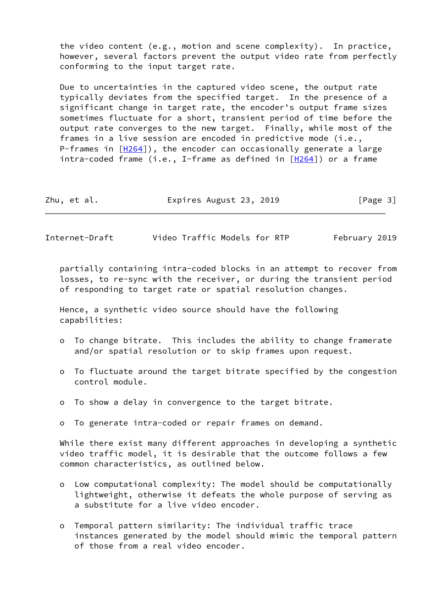the video content (e.g., motion and scene complexity). In practice, however, several factors prevent the output video rate from perfectly conforming to the input target rate.

 Due to uncertainties in the captured video scene, the output rate typically deviates from the specified target. In the presence of a significant change in target rate, the encoder's output frame sizes sometimes fluctuate for a short, transient period of time before the output rate converges to the new target. Finally, while most of the frames in a live session are encoded in predictive mode (i.e., P-frames in  $[H264])$  $[H264])$ , the encoder can occasionally generate a large intra-coded frame (i.e., I-frame as defined in  $[H264]$  $[H264]$ ) or a frame

| Zhu, et al. | Expires August 23, 2019 | [Page 3] |
|-------------|-------------------------|----------|
|-------------|-------------------------|----------|

Internet-Draft Video Traffic Models for RTP February 2019

 partially containing intra-coded blocks in an attempt to recover from losses, to re-sync with the receiver, or during the transient period of responding to target rate or spatial resolution changes.

 Hence, a synthetic video source should have the following capabilities:

- o To change bitrate. This includes the ability to change framerate and/or spatial resolution or to skip frames upon request.
- o To fluctuate around the target bitrate specified by the congestion control module.
- o To show a delay in convergence to the target bitrate.
- o To generate intra-coded or repair frames on demand.

 While there exist many different approaches in developing a synthetic video traffic model, it is desirable that the outcome follows a few common characteristics, as outlined below.

- o Low computational complexity: The model should be computationally lightweight, otherwise it defeats the whole purpose of serving as a substitute for a live video encoder.
- o Temporal pattern similarity: The individual traffic trace instances generated by the model should mimic the temporal pattern of those from a real video encoder.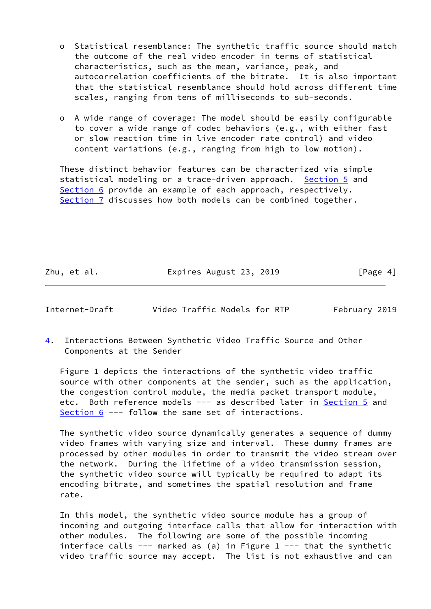- o Statistical resemblance: The synthetic traffic source should match the outcome of the real video encoder in terms of statistical characteristics, such as the mean, variance, peak, and autocorrelation coefficients of the bitrate. It is also important that the statistical resemblance should hold across different time scales, ranging from tens of milliseconds to sub-seconds.
- o A wide range of coverage: The model should be easily configurable to cover a wide range of codec behaviors (e.g., with either fast or slow reaction time in live encoder rate control) and video content variations (e.g., ranging from high to low motion).

 These distinct behavior features can be characterized via simple statistical modeling or a trace-driven approach. [Section 5](#page-6-0) and [Section 6](#page-9-2) provide an example of each approach, respectively. [Section 7](#page-15-0) discusses how both models can be combined together.

Zhu, et al. **Expires August 23, 2019** [Page 4]

<span id="page-4-0"></span>Internet-Draft Video Traffic Models for RTP February 2019

<span id="page-4-1"></span>[4](#page-4-1). Interactions Between Synthetic Video Traffic Source and Other Components at the Sender

 Figure 1 depicts the interactions of the synthetic video traffic source with other components at the sender, such as the application, the congestion control module, the media packet transport module, etc. Both reference models --- as described later in **Section 5** and [Section 6](#page-9-2) --- follow the same set of interactions.

 The synthetic video source dynamically generates a sequence of dummy video frames with varying size and interval. These dummy frames are processed by other modules in order to transmit the video stream over the network. During the lifetime of a video transmission session, the synthetic video source will typically be required to adapt its encoding bitrate, and sometimes the spatial resolution and frame rate.

 In this model, the synthetic video source module has a group of incoming and outgoing interface calls that allow for interaction with other modules. The following are some of the possible incoming interface calls  $---$  marked as (a) in Figure 1  $---$  that the synthetic video traffic source may accept. The list is not exhaustive and can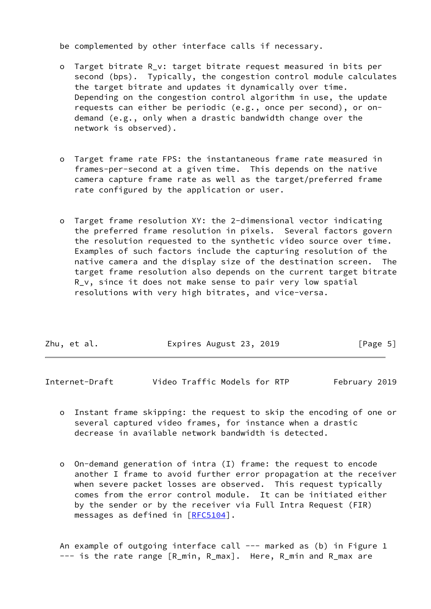be complemented by other interface calls if necessary.

- o Target bitrate R\_v: target bitrate request measured in bits per second (bps). Typically, the congestion control module calculates the target bitrate and updates it dynamically over time. Depending on the congestion control algorithm in use, the update requests can either be periodic (e.g., once per second), or on demand (e.g., only when a drastic bandwidth change over the network is observed).
- o Target frame rate FPS: the instantaneous frame rate measured in frames-per-second at a given time. This depends on the native camera capture frame rate as well as the target/preferred frame rate configured by the application or user.
- o Target frame resolution XY: the 2-dimensional vector indicating the preferred frame resolution in pixels. Several factors govern the resolution requested to the synthetic video source over time. Examples of such factors include the capturing resolution of the native camera and the display size of the destination screen. The target frame resolution also depends on the current target bitrate R\_v, since it does not make sense to pair very low spatial resolutions with very high bitrates, and vice-versa.

| Zhu, et al. | Expires August 23, 2019 | [Page 5] |
|-------------|-------------------------|----------|
|             |                         |          |

<span id="page-5-0"></span>Internet-Draft Video Traffic Models for RTP February 2019

- o Instant frame skipping: the request to skip the encoding of one or several captured video frames, for instance when a drastic decrease in available network bandwidth is detected.
- o On-demand generation of intra (I) frame: the request to encode another I frame to avoid further error propagation at the receiver when severe packet losses are observed. This request typically comes from the error control module. It can be initiated either by the sender or by the receiver via Full Intra Request (FIR) messages as defined in [[RFC5104](https://datatracker.ietf.org/doc/pdf/rfc5104)].

An example of outgoing interface call --- marked as (b) in Figure 1 --- is the rate range [R\_min, R\_max]. Here, R\_min and R\_max are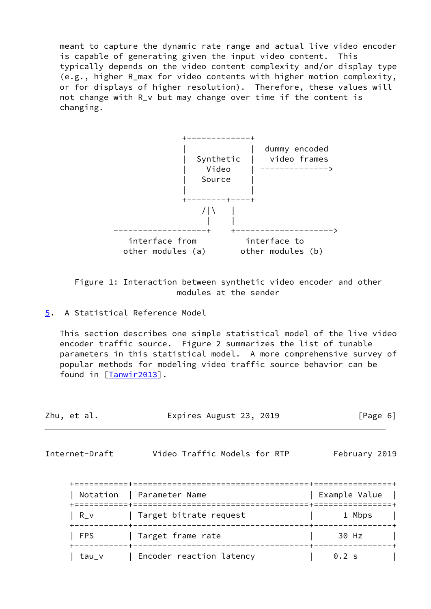meant to capture the dynamic rate range and actual live video encoder is capable of generating given the input video content. This typically depends on the video content complexity and/or display type (e.g., higher R\_max for video contents with higher motion complexity, or for displays of higher resolution). Therefore, these values will not change with R v but may change over time if the content is changing.



 Figure 1: Interaction between synthetic video encoder and other modules at the sender

 This section describes one simple statistical model of the live video encoder traffic source. Figure 2 summarizes the list of tunable parameters in this statistical model. A more comprehensive survey of popular methods for modeling video traffic source behavior can be found in [\[Tanwir2013\]](#page-18-1).

| Zhu, et al. | Expires August 23, 2019 | [Page 6] |
|-------------|-------------------------|----------|
|-------------|-------------------------|----------|

<span id="page-6-1"></span>Internet-Draft Video Traffic Models for RTP February 2019

|            | ------------<br>Notation   Parameter Name     | Example Value |
|------------|-----------------------------------------------|---------------|
| R v        | =================<br>  Target bitrate request | 1 Mbps        |
| <b>FPS</b> | Target frame rate                             | 30 Hz         |
| tau v      | Encoder reaction latency                      | $0.2$ s       |

<span id="page-6-0"></span>[<sup>5</sup>](#page-6-0). A Statistical Reference Model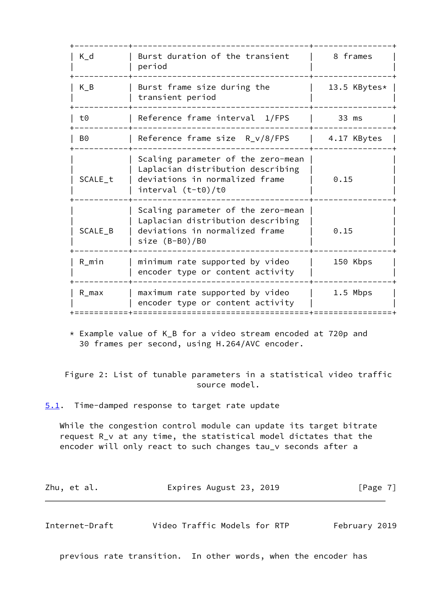| $K_d$     | Burst duration of the transient<br>period                                                                                         | 8 frames     |
|-----------|-----------------------------------------------------------------------------------------------------------------------------------|--------------|
| $K_B$     | Burst frame size during the<br>transient period                                                                                   | 13.5 KBytes* |
| t0        | Reference frame interval 1/FPS                                                                                                    | 33 ms        |
| B0        | Reference frame size R_v/8/FPS                                                                                                    | 4.17 KBytes  |
| SCALE_t   | Scaling parameter of the zero-mean<br>Laplacian distribution describing<br>deviations in normalized frame<br>$interval (t-t0)/t0$ | 0.15         |
| SCALE_B   | Scaling parameter of the zero-mean<br>Laplacian distribution describing<br>deviations in normalized frame<br>size $(B- B0)/B0$    | 0.15         |
| $R_m$ in  | minimum rate supported by video<br>encoder type or content activity                                                               | 150 Kbps     |
| $R_{max}$ | maximum rate supported by video<br>encoder type or content activity                                                               | 1.5 Mbps     |
|           |                                                                                                                                   |              |

 \* Example value of K\_B for a video stream encoded at 720p and 30 frames per second, using H.264/AVC encoder.

 Figure 2: List of tunable parameters in a statistical video traffic source model.

<span id="page-7-0"></span>[5.1](#page-7-0). Time-damped response to target rate update

 While the congestion control module can update its target bitrate request R\_v at any time, the statistical model dictates that the encoder will only react to such changes tau\_v seconds after a

| Zhu, et al. | Expires August 23, 2019 | [Page 7] |
|-------------|-------------------------|----------|
|-------------|-------------------------|----------|

<span id="page-7-1"></span>Internet-Draft Video Traffic Models for RTP February 2019

previous rate transition. In other words, when the encoder has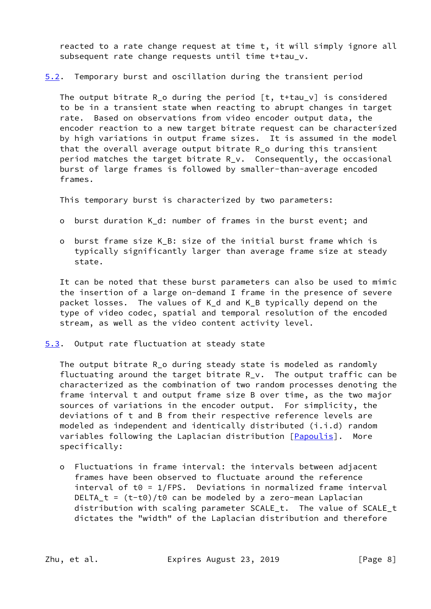reacted to a rate change request at time t, it will simply ignore all subsequent rate change requests until time t+tau\_v.

<span id="page-8-1"></span>[5.2](#page-8-1). Temporary burst and oscillation during the transient period

 The output bitrate R\_o during the period [t, t+tau\_v] is considered to be in a transient state when reacting to abrupt changes in target rate. Based on observations from video encoder output data, the encoder reaction to a new target bitrate request can be characterized by high variations in output frame sizes. It is assumed in the model that the overall average output bitrate R\_o during this transient period matches the target bitrate R\_v. Consequently, the occasional burst of large frames is followed by smaller-than-average encoded frames.

This temporary burst is characterized by two parameters:

- o burst duration K\_d: number of frames in the burst event; and
- o burst frame size K\_B: size of the initial burst frame which is typically significantly larger than average frame size at steady state.

 It can be noted that these burst parameters can also be used to mimic the insertion of a large on-demand I frame in the presence of severe packet losses. The values of K\_d and K\_B typically depend on the type of video codec, spatial and temporal resolution of the encoded stream, as well as the video content activity level.

<span id="page-8-0"></span>[5.3](#page-8-0). Output rate fluctuation at steady state

 The output bitrate R\_o during steady state is modeled as randomly fluctuating around the target bitrate  $R_v$ . The output traffic can be characterized as the combination of two random processes denoting the frame interval t and output frame size B over time, as the two major sources of variations in the encoder output. For simplicity, the deviations of t and B from their respective reference levels are modeled as independent and identically distributed (i.i.d) random variables following the Laplacian distribution [\[Papoulis](#page-18-2)]. More specifically:

 o Fluctuations in frame interval: the intervals between adjacent frames have been observed to fluctuate around the reference interval of  $t0 = 1/FPS$ . Deviations in normalized frame interval DELTA<sub>\_t</sub> =  $(t-t0)/t0$  can be modeled by a zero-mean Laplacian distribution with scaling parameter SCALE\_t. The value of SCALE\_t dictates the "width" of the Laplacian distribution and therefore

Zhu, et al. **Expires August 23, 2019** [Page 8]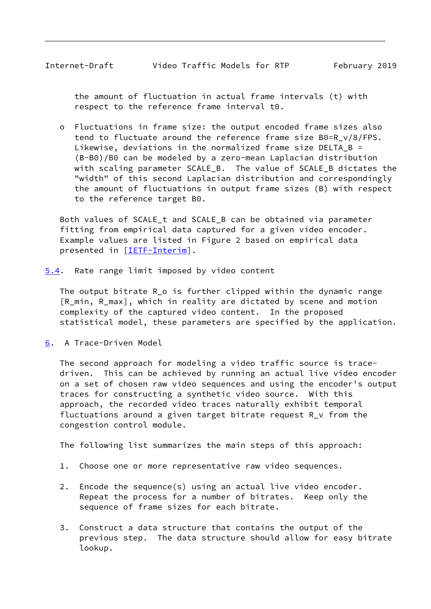<span id="page-9-1"></span> the amount of fluctuation in actual frame intervals (t) with respect to the reference frame interval t0.

 o Fluctuations in frame size: the output encoded frame sizes also tend to fluctuate around the reference frame size B0=R\_v/8/FPS. Likewise, deviations in the normalized frame size DELTA B = (B-B0)/B0 can be modeled by a zero-mean Laplacian distribution with scaling parameter SCALE\_B. The value of SCALE B dictates the "width" of this second Laplacian distribution and correspondingly the amount of fluctuations in output frame sizes (B) with respect to the reference target B0.

 Both values of SCALE\_t and SCALE\_B can be obtained via parameter fitting from empirical data captured for a given video encoder. Example values are listed in Figure 2 based on empirical data presented in [\[IETF-Interim](#page-18-3)].

<span id="page-9-0"></span>[5.4](#page-9-0). Rate range limit imposed by video content

 The output bitrate R\_o is further clipped within the dynamic range [R min, R max], which in reality are dictated by scene and motion complexity of the captured video content. In the proposed statistical model, these parameters are specified by the application.

<span id="page-9-2"></span>[6](#page-9-2). A Trace-Driven Model

 The second approach for modeling a video traffic source is trace driven. This can be achieved by running an actual live video encoder on a set of chosen raw video sequences and using the encoder's output traces for constructing a synthetic video source. With this approach, the recorded video traces naturally exhibit temporal fluctuations around a given target bitrate request R\_v from the congestion control module.

The following list summarizes the main steps of this approach:

- 1. Choose one or more representative raw video sequences.
- 2. Encode the sequence(s) using an actual live video encoder. Repeat the process for a number of bitrates. Keep only the sequence of frame sizes for each bitrate.
- 3. Construct a data structure that contains the output of the previous step. The data structure should allow for easy bitrate lookup.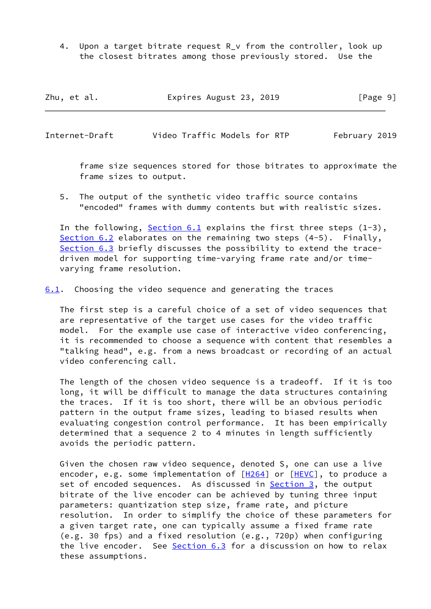4. Upon a target bitrate request R v from the controller, look up the closest bitrates among those previously stored. Use the

| Zhu, et al. | Expires August 23, 2019 | [Page 9] |
|-------------|-------------------------|----------|
|-------------|-------------------------|----------|

<span id="page-10-1"></span>Internet-Draft Video Traffic Models for RTP February 2019

 frame size sequences stored for those bitrates to approximate the frame sizes to output.

 5. The output of the synthetic video traffic source contains "encoded" frames with dummy contents but with realistic sizes.

In the following, Section  $6.1$  explains the first three steps  $(1-3)$ , [Section 6.2](#page-12-0) elaborates on the remaining two steps (4-5). Finally, [Section 6.3](#page-14-1) briefly discusses the possibility to extend the trace driven model for supporting time-varying frame rate and/or time varying frame resolution.

<span id="page-10-0"></span>[6.1](#page-10-0). Choosing the video sequence and generating the traces

 The first step is a careful choice of a set of video sequences that are representative of the target use cases for the video traffic model. For the example use case of interactive video conferencing, it is recommended to choose a sequence with content that resembles a "talking head", e.g. from a news broadcast or recording of an actual video conferencing call.

 The length of the chosen video sequence is a tradeoff. If it is too long, it will be difficult to manage the data structures containing the traces. If it is too short, there will be an obvious periodic pattern in the output frame sizes, leading to biased results when evaluating congestion control performance. It has been empirically determined that a sequence 2 to 4 minutes in length sufficiently avoids the periodic pattern.

 Given the chosen raw video sequence, denoted S, one can use a live encoder, e.g. some implementation of  $[H264]$  $[H264]$  or  $[HEVC]$  $[HEVC]$ , to produce a set of encoded sequences. As discussed in [Section 3,](#page-2-2) the output bitrate of the live encoder can be achieved by tuning three input parameters: quantization step size, frame rate, and picture resolution. In order to simplify the choice of these parameters for a given target rate, one can typically assume a fixed frame rate (e.g. 30 fps) and a fixed resolution (e.g., 720p) when configuring the live encoder. See [Section 6.3](#page-14-1) for a discussion on how to relax these assumptions.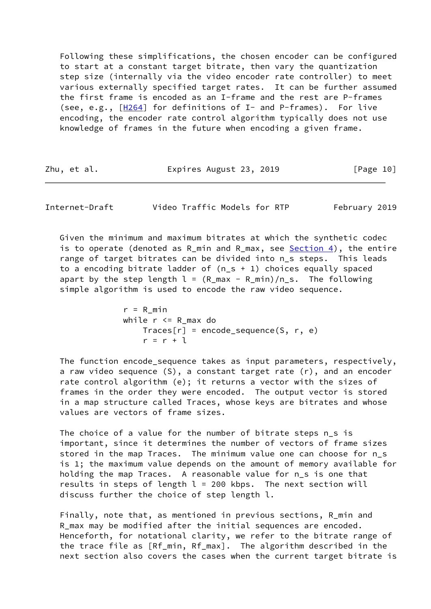Following these simplifications, the chosen encoder can be configured to start at a constant target bitrate, then vary the quantization step size (internally via the video encoder rate controller) to meet various externally specified target rates. It can be further assumed the first frame is encoded as an I-frame and the rest are P-frames (see, e.g., [\[H264](#page-17-7)] for definitions of I- and P-frames). For live encoding, the encoder rate control algorithm typically does not use knowledge of frames in the future when encoding a given frame.

| Zhu, et al. | Expires August 23, 2019 | [Page 10] |
|-------------|-------------------------|-----------|
|-------------|-------------------------|-----------|

<span id="page-11-0"></span>Internet-Draft Video Traffic Models for RTP February 2019

 Given the minimum and maximum bitrates at which the synthetic codec is to operate (denoted as R\_min and R\_max, see [Section 4\)](#page-4-1), the entire range of target bitrates can be divided into n\_s steps. This leads to a encoding bitrate ladder of (n\_s + 1) choices equally spaced apart by the step length  $l = (R_{max} - R_{min})/n_s$ . The following simple algorithm is used to encode the raw video sequence.

```
r = R min
while r <= R_max do
   Trace[r] = encode\_sequence(S, r, e)r = r + 1
```
 The function encode\_sequence takes as input parameters, respectively, a raw video sequence (S), a constant target rate (r), and an encoder rate control algorithm (e); it returns a vector with the sizes of frames in the order they were encoded. The output vector is stored in a map structure called Traces, whose keys are bitrates and whose values are vectors of frame sizes.

 The choice of a value for the number of bitrate steps n\_s is important, since it determines the number of vectors of frame sizes stored in the map Traces. The minimum value one can choose for n\_s is 1; the maximum value depends on the amount of memory available for holding the map Traces. A reasonable value for n\_s is one that results in steps of length  $l = 200$  kbps. The next section will discuss further the choice of step length l.

 Finally, note that, as mentioned in previous sections, R\_min and R\_max may be modified after the initial sequences are encoded. Henceforth, for notational clarity, we refer to the bitrate range of the trace file as [Rf\_min, Rf\_max]. The algorithm described in the next section also covers the cases when the current target bitrate is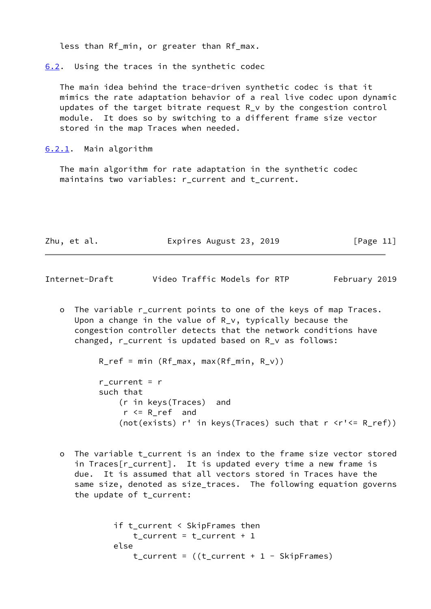less than Rf\_min, or greater than Rf\_max.

<span id="page-12-0"></span>[6.2](#page-12-0). Using the traces in the synthetic codec

 The main idea behind the trace-driven synthetic codec is that it mimics the rate adaptation behavior of a real live codec upon dynamic updates of the target bitrate request R\_v by the congestion control module. It does so by switching to a different frame size vector stored in the map Traces when needed.

<span id="page-12-1"></span>[6.2.1](#page-12-1). Main algorithm

 The main algorithm for rate adaptation in the synthetic codec maintains two variables: r\_current and t\_current.

| Expires August 23, 2019<br>Zhu, et al. | [Page 11] |
|----------------------------------------|-----------|
|----------------------------------------|-----------|

Internet-Draft Video Traffic Models for RTP February 2019

o The variable r current points to one of the keys of map Traces. Upon a change in the value of R\_v, typically because the congestion controller detects that the network conditions have changed, r\_current is updated based on R\_v as follows:

R\_ref = min (Rf\_max, max(Rf\_min, R\_v))

r current =  $r$  such that (r in keys(Traces) and  $r \le R$  ref and (not(exists)  $r'$  in keys(Traces) such that  $r$   $\langle r' \rangle = R_ref$ ))

 o The variable t\_current is an index to the frame size vector stored in Traces[r current]. It is updated every time a new frame is due. It is assumed that all vectors stored in Traces have the same size, denoted as size\_traces. The following equation governs the update of t\_current:

```
 if t_current < SkipFrames then
   t_current = t_current + 1
else
   t_ccurrent = ((t_ccurrent + 1 - SkipFrames)
```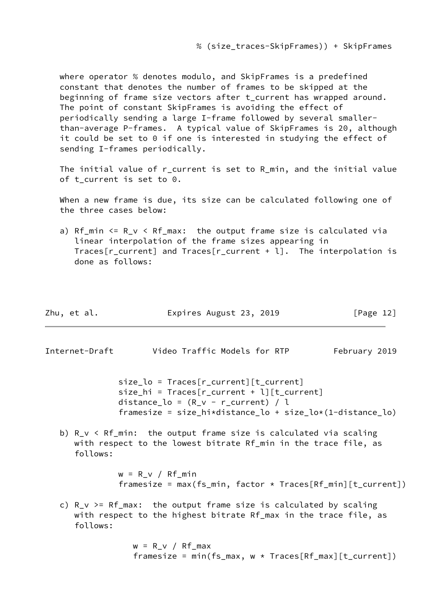where operator % denotes modulo, and SkipFrames is a predefined constant that denotes the number of frames to be skipped at the beginning of frame size vectors after t\_current has wrapped around. The point of constant SkipFrames is avoiding the effect of periodically sending a large I-frame followed by several smaller than-average P-frames. A typical value of SkipFrames is 20, although it could be set to 0 if one is interested in studying the effect of sending I-frames periodically.

 The initial value of r\_current is set to R\_min, and the initial value of t\_current is set to 0.

 When a new frame is due, its size can be calculated following one of the three cases below:

a) Rf min  $\leq R$  v  $\leq$  Rf max: the output frame size is calculated via linear interpolation of the frame sizes appearing in Traces[r\_current] and Traces[r\_current + l]. The interpolation is done as follows:

| Zhu, et al. | Expires August 23, 2019 | [Page 12] |
|-------------|-------------------------|-----------|
|-------------|-------------------------|-----------|

<span id="page-13-0"></span>Internet-Draft Video Traffic Models for RTP February 2019

 size\_lo = Traces[r\_current][t\_current]  $size\_hi = Traces[r\_current + l][t\_current]$ distance\_lo =  $(R_v - r_c)$  (l framesize = size\_hi\*distance\_lo + size\_lo\*(1-distance\_lo)

b)  $R_v < Rf_{min}$ : the output frame size is calculated via scaling with respect to the lowest bitrate Rf\_min in the trace file, as follows:

> $w = R_v / Rf_{min}$ framesize = max(fs\_min, factor  $*$  Traces[Rf\_min][t\_current])

c) R v >= Rf max: the output frame size is calculated by scaling with respect to the highest bitrate Rf\_max in the trace file, as follows:

> $w = R_v / Rf_{max}$ framesize = min(fs\_max,  $w * Traces[Rf_max][t_current])$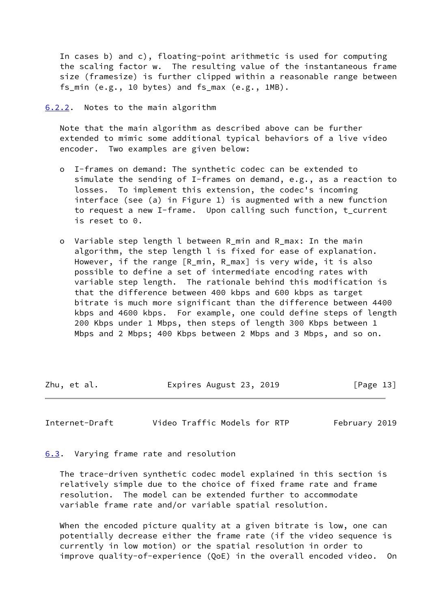In cases b) and c), floating-point arithmetic is used for computing the scaling factor w. The resulting value of the instantaneous frame size (framesize) is further clipped within a reasonable range between fs\_min (e.g., 10 bytes) and fs\_max (e.g., 1MB).

<span id="page-14-0"></span>[6.2.2](#page-14-0). Notes to the main algorithm

 Note that the main algorithm as described above can be further extended to mimic some additional typical behaviors of a live video encoder. Two examples are given below:

- o I-frames on demand: The synthetic codec can be extended to simulate the sending of I-frames on demand, e.g., as a reaction to losses. To implement this extension, the codec's incoming interface (see (a) in Figure 1) is augmented with a new function to request a new I-frame. Upon calling such function, t\_current is reset to 0.
- o Variable step length l between R\_min and R\_max: In the main algorithm, the step length l is fixed for ease of explanation. However, if the range [R\_min, R\_max] is very wide, it is also possible to define a set of intermediate encoding rates with variable step length. The rationale behind this modification is that the difference between 400 kbps and 600 kbps as target bitrate is much more significant than the difference between 4400 kbps and 4600 kbps. For example, one could define steps of length 200 Kbps under 1 Mbps, then steps of length 300 Kbps between 1 Mbps and 2 Mbps; 400 Kbps between 2 Mbps and 3 Mbps, and so on.

Zhu, et al. Expires August 23, 2019 [Page 13]

<span id="page-14-2"></span>Internet-Draft Video Traffic Models for RTP February 2019

<span id="page-14-1"></span>[6.3](#page-14-1). Varying frame rate and resolution

 The trace-driven synthetic codec model explained in this section is relatively simple due to the choice of fixed frame rate and frame resolution. The model can be extended further to accommodate variable frame rate and/or variable spatial resolution.

 When the encoded picture quality at a given bitrate is low, one can potentially decrease either the frame rate (if the video sequence is currently in low motion) or the spatial resolution in order to improve quality-of-experience (QoE) in the overall encoded video. On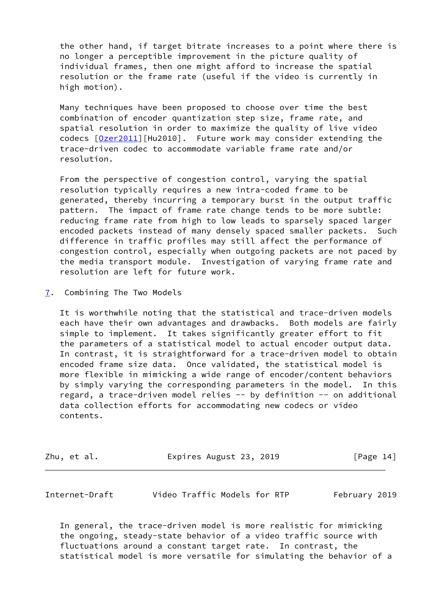the other hand, if target bitrate increases to a point where there is no longer a perceptible improvement in the picture quality of individual frames, then one might afford to increase the spatial resolution or the frame rate (useful if the video is currently in high motion).

 Many techniques have been proposed to choose over time the best combination of encoder quantization step size, frame rate, and spatial resolution in order to maximize the quality of live video codecs  $[0$ zer2011][Hu2010]. Future work may consider extending the trace-driven codec to accommodate variable frame rate and/or resolution.

 From the perspective of congestion control, varying the spatial resolution typically requires a new intra-coded frame to be generated, thereby incurring a temporary burst in the output traffic pattern. The impact of frame rate change tends to be more subtle: reducing frame rate from high to low leads to sparsely spaced larger encoded packets instead of many densely spaced smaller packets. Such difference in traffic profiles may still affect the performance of congestion control, especially when outgoing packets are not paced by the media transport module. Investigation of varying frame rate and resolution are left for future work.

<span id="page-15-0"></span>[7](#page-15-0). Combining The Two Models

 It is worthwhile noting that the statistical and trace-driven models each have their own advantages and drawbacks. Both models are fairly simple to implement. It takes significantly greater effort to fit the parameters of a statistical model to actual encoder output data. In contrast, it is straightforward for a trace-driven model to obtain encoded frame size data. Once validated, the statistical model is more flexible in mimicking a wide range of encoder/content behaviors by simply varying the corresponding parameters in the model. In this regard, a trace-driven model relies -- by definition -- on additional data collection efforts for accommodating new codecs or video contents.

| Zhu, et al. | Expires August 23, 2019 | [Page 14] |
|-------------|-------------------------|-----------|
|-------------|-------------------------|-----------|

Internet-Draft Video Traffic Models for RTP February 2019

 In general, the trace-driven model is more realistic for mimicking the ongoing, steady-state behavior of a video traffic source with fluctuations around a constant target rate. In contrast, the statistical model is more versatile for simulating the behavior of a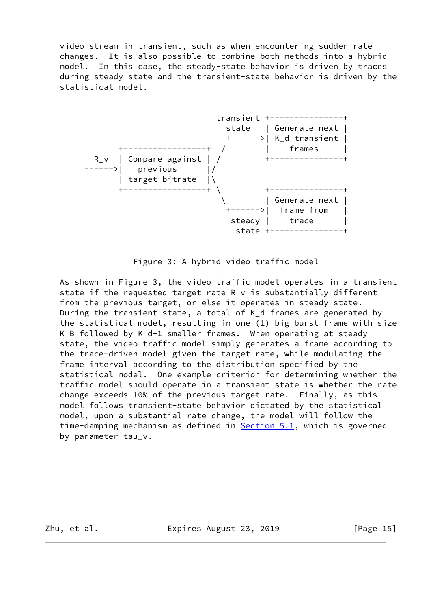video stream in transient, such as when encountering sudden rate changes. It is also possible to combine both methods into a hybrid model. In this case, the steady-state behavior is driven by traces during steady state and the transient-state behavior is driven by the statistical model.



Figure 3: A hybrid video traffic model

 As shown in Figure 3, the video traffic model operates in a transient state if the requested target rate R\_v is substantially different from the previous target, or else it operates in steady state. During the transient state, a total of K\_d frames are generated by the statistical model, resulting in one (1) big burst frame with size K\_B followed by K\_d-1 smaller frames. When operating at steady state, the video traffic model simply generates a frame according to the trace-driven model given the target rate, while modulating the frame interval according to the distribution specified by the statistical model. One example criterion for determining whether the traffic model should operate in a transient state is whether the rate change exceeds 10% of the previous target rate. Finally, as this model follows transient-state behavior dictated by the statistical model, upon a substantial rate change, the model will follow the time-damping mechanism as defined in **Section 5.1**, which is governed by parameter tau v.

Zhu, et al. **Expires August 23, 2019** [Page 15]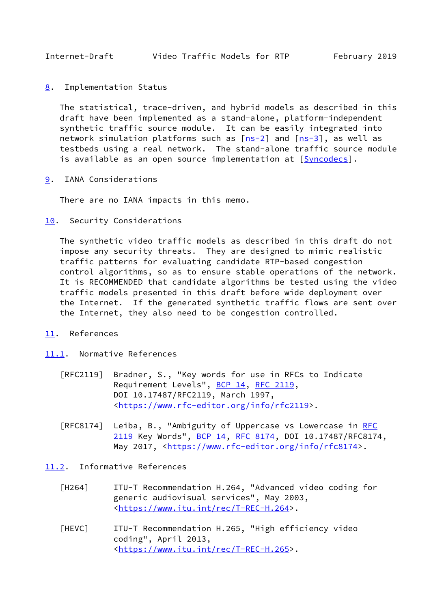<span id="page-17-1"></span><span id="page-17-0"></span>[8](#page-17-0). Implementation Status

 The statistical, trace-driven, and hybrid models as described in this draft have been implemented as a stand-alone, platform-independent synthetic traffic source module. It can be easily integrated into network simulation platforms such as  $[ns-2]$  $[ns-2]$  and  $[ns-3]$  $[ns-3]$ , as well as testbeds using a real network. The stand-alone traffic source module is available as an open source implementation at [\[Syncodecs\]](#page-18-7).

<span id="page-17-2"></span>[9](#page-17-2). IANA Considerations

There are no IANA impacts in this memo.

<span id="page-17-3"></span>[10.](#page-17-3) Security Considerations

 The synthetic video traffic models as described in this draft do not impose any security threats. They are designed to mimic realistic traffic patterns for evaluating candidate RTP-based congestion control algorithms, so as to ensure stable operations of the network. It is RECOMMENDED that candidate algorithms be tested using the video traffic models presented in this draft before wide deployment over the Internet. If the generated synthetic traffic flows are sent over the Internet, they also need to be congestion controlled.

- <span id="page-17-4"></span>[11.](#page-17-4) References
- <span id="page-17-5"></span>[11.1](#page-17-5). Normative References
	- [RFC2119] Bradner, S., "Key words for use in RFCs to Indicate Requirement Levels", [BCP 14](https://datatracker.ietf.org/doc/pdf/bcp14), [RFC 2119](https://datatracker.ietf.org/doc/pdf/rfc2119), DOI 10.17487/RFC2119, March 1997, <[https://www.rfc-editor.org/info/rfc2119>](https://www.rfc-editor.org/info/rfc2119).
	- [RFC8174] Leiba, B., "Ambiguity of Uppercase vs Lowercase in [RFC](https://datatracker.ietf.org/doc/pdf/rfc2119) [2119](https://datatracker.ietf.org/doc/pdf/rfc2119) Key Words", [BCP 14](https://datatracker.ietf.org/doc/pdf/bcp14), [RFC 8174,](https://datatracker.ietf.org/doc/pdf/rfc8174) DOI 10.17487/RFC8174, May 2017, [<https://www.rfc-editor.org/info/rfc8174](https://www.rfc-editor.org/info/rfc8174)>.
- <span id="page-17-8"></span><span id="page-17-7"></span><span id="page-17-6"></span>[11.2](#page-17-6). Informative References
	- [H264] ITU-T Recommendation H.264, "Advanced video coding for generic audiovisual services", May 2003, <[https://www.itu.int/rec/T-REC-H.264>](https://www.itu.int/rec/T-REC-H.264).
	- [HEVC] ITU-T Recommendation H.265, "High efficiency video coding", April 2013, <[https://www.itu.int/rec/T-REC-H.265>](https://www.itu.int/rec/T-REC-H.265).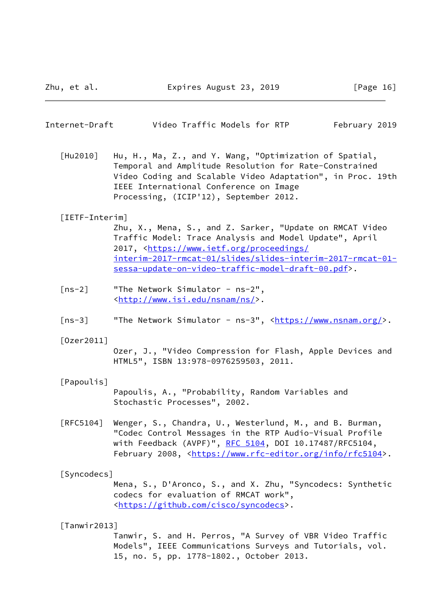<span id="page-18-0"></span>

| Internet-Draft | Video Traffic Models for RTP |  | February 2019 |  |
|----------------|------------------------------|--|---------------|--|
|                |                              |  |               |  |

 [Hu2010] Hu, H., Ma, Z., and Y. Wang, "Optimization of Spatial, Temporal and Amplitude Resolution for Rate-Constrained Video Coding and Scalable Video Adaptation", in Proc. 19th IEEE International Conference on Image Processing, (ICIP'12), September 2012.

#### <span id="page-18-3"></span>[IETF-Interim]

 Zhu, X., Mena, S., and Z. Sarker, "Update on RMCAT Video Traffic Model: Trace Analysis and Model Update", April 2017, [<https://www.ietf.org/proceedings/](https://www.ietf.org/proceedings/interim-2017-rmcat-01/slides/slides-interim-2017-rmcat-01-sessa-update-on-video-traffic-model-draft-00.pdf) [interim-2017-rmcat-01/slides/slides-interim-2017-rmcat-01](https://www.ietf.org/proceedings/interim-2017-rmcat-01/slides/slides-interim-2017-rmcat-01-sessa-update-on-video-traffic-model-draft-00.pdf) [sessa-update-on-video-traffic-model-draft-00.pdf>](https://www.ietf.org/proceedings/interim-2017-rmcat-01/slides/slides-interim-2017-rmcat-01-sessa-update-on-video-traffic-model-draft-00.pdf).

- <span id="page-18-5"></span> [ns-2] "The Network Simulator - ns-2", <[http://www.isi.edu/nsnam/ns/>](http://www.isi.edu/nsnam/ns/).
- <span id="page-18-6"></span>[ns-3] "The Network Simulator - ns-3", <<https://www.nsnam.org/>>.

#### <span id="page-18-4"></span>[Ozer2011]

 Ozer, J., "Video Compression for Flash, Apple Devices and HTML5", ISBN 13:978-0976259503, 2011.

#### <span id="page-18-2"></span>[Papoulis]

 Papoulis, A., "Probability, Random Variables and Stochastic Processes", 2002.

 [RFC5104] Wenger, S., Chandra, U., Westerlund, M., and B. Burman, "Codec Control Messages in the RTP Audio-Visual Profile with Feedback (AVPF)", [RFC 5104](https://datatracker.ietf.org/doc/pdf/rfc5104), DOI 10.17487/RFC5104, February 2008, <<https://www.rfc-editor.org/info/rfc5104>>.

## <span id="page-18-7"></span>[Syncodecs]

 Mena, S., D'Aronco, S., and X. Zhu, "Syncodecs: Synthetic codecs for evaluation of RMCAT work", <[https://github.com/cisco/syncodecs>](https://github.com/cisco/syncodecs).

#### <span id="page-18-1"></span>[Tanwir2013]

 Tanwir, S. and H. Perros, "A Survey of VBR Video Traffic Models", IEEE Communications Surveys and Tutorials, vol. 15, no. 5, pp. 1778-1802., October 2013.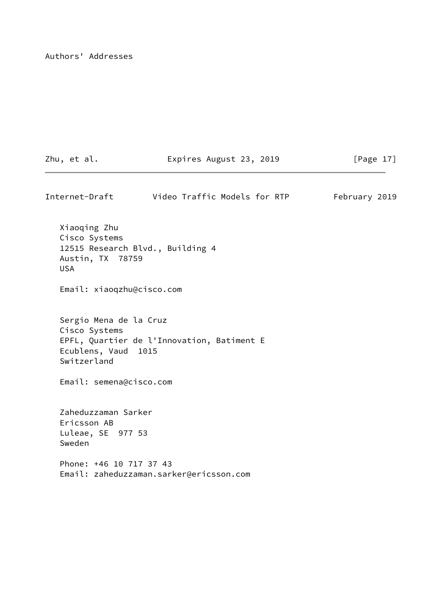Authors' Addresses

Zhu, et al. **Expires August 23, 2019** [Page 17]

Internet-Draft Video Traffic Models for RTP February 2019 Xiaoqing Zhu Cisco Systems 12515 Research Blvd., Building 4 Austin, TX 78759 USA Email: xiaoqzhu@cisco.com Sergio Mena de la Cruz Cisco Systems EPFL, Quartier de l'Innovation, Batiment E Ecublens, Vaud 1015 Switzerland Email: semena@cisco.com Zaheduzzaman Sarker Ericsson AB Luleae, SE 977 53 Sweden Phone: +46 10 717 37 43 Email: zaheduzzaman.sarker@ericsson.com